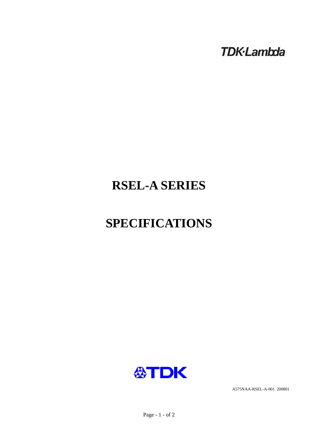**TDK-Lambda** 

## **RSEL-A SERIES**

# **SPECIFICATIONS**



A575NAA-RSEL-A-001 200801

Page - 1 - of 2